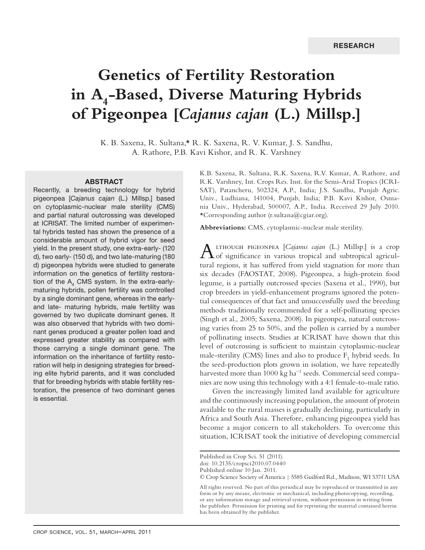# **Genetics of Fertility Restoration**  in A<sub>4</sub>-Based, Diverse Maturing Hybrids **of Pigeonpea [***Cajanus cajan* **(L.) Millsp.]**

K. B. Saxena, R. Sultana,\* R. K. Saxena, R. V. Kumar, J. S. Sandhu, A. Rathore, P.B. Kavi Kishor, and R. K. Varshney

#### ABSTRACT

Recently, a breeding technology for hybrid pigeonpea [*Cajanus cajan* (L.) Millsp.] based on cytoplasmic-nuclear male sterility (CMS) and partial natural outcrossing was developed at ICRISAT. The limited number of experimental hybrids tested has shown the presence of a considerable amount of hybrid vigor for seed yield. In the present study, one extra-early- (120 d), two early- (150 d), and two late-maturing (180 d) pigeonpea hybrids were studied to generate information on the genetics of fertility restoration of the  $A_4$  CMS system. In the extra-earlymaturing hybrids, pollen fertility was controlled by a single dominant gene, whereas in the earlyand late- maturing hybrids, male fertility was governed by two duplicate dominant genes. It was also observed that hybrids with two dominant genes produced a greater pollen load and expressed greater stability as compared with those carrying a single dominant gene. The information on the inheritance of fertility restoration will help in designing strategies for breeding elite hybrid parents, and it was concluded that for breeding hybrids with stable fertility restoration, the presence of two dominant genes is essential.

K.B. Saxena, R. Sultana, R.K. Saxena, R.V. Kumar, A. Rathore, and R.K. Varshney, Int. Crops Res. Inst. for the Semi-Arid Tropics (ICRI-SAT), Patancheru, 502324, A.P., India; J.S. Sandhu, Punjab Agric. Univ., Ludhiana, 141004, Punjab, India; P.B. Kavi Kishor, Osmania Univ., Hyderabad, 500007, A.P., India. Received 29 July 2010. \*Corresponding author (r.sultana@cgiar.org).

**Abbreviations:** CMS, cytoplasmic-nuclear male sterility.

ALTHOUGH PIGEONPEA [*Cajanus cajan* (L.) Millsp.] is a crop of significance in various tropical and subtropical agricultural regions, it has suffered from yield stagnation for more than six decades (FAOSTAT, 2008). Pigeonpea, a high-protein food legume, is a partially outcrossed species (Saxena et al., 1990), but crop breeders in yield-enhancement programs ignored the potential consequences of that fact and unsuccessfully used the breeding methods traditionally recommended for a self-pollinating species (Singh et al., 2005; Saxena, 2008). In pigeonpea, natural outcrossing varies from 25 to 50%, and the pollen is carried by a number of pollinating insects. Studies at ICRISAT have shown that this level of outcrossing is sufficient to maintain cytoplasmic-nuclear male-sterility (CMS) lines and also to produce  $\mathsf{F}_1$  hybrid seeds. In the seed-production plots grown in isolation, we have repeatedly harvested more than 1000 kg ha<sup>-1</sup> seeds. Commercial seed companies are now using this technology with a 4:1 female-to-male ratio.

Given the increasingly limited land available for agriculture and the continuously increasing population, the amount of protein available to the rural masses is gradually declining, particularly in Africa and South Asia. Therefore, enhancing pigeonpea yield has become a major concern to all stakeholders. To overcome this situation, ICRISAT took the initiative of developing commercial

Published in Crop Sci. 51 (2011).

doi: 10.2135/cropsci2010.07.0440

Published online 10 Jan. 2011.

<sup>©</sup> Crop Science Society of America | 5585 Guilford Rd., Madison, WI 53711 USA

All rights reserved. No part of this periodical may be reproduced or transmitted in any form or by any means, electronic or mechanical, including photocopying, recording, or any information storage and retrieval system, without permission in writing from the publisher. Permission for printing and for reprinting the material contained herein has been obtained by the publisher.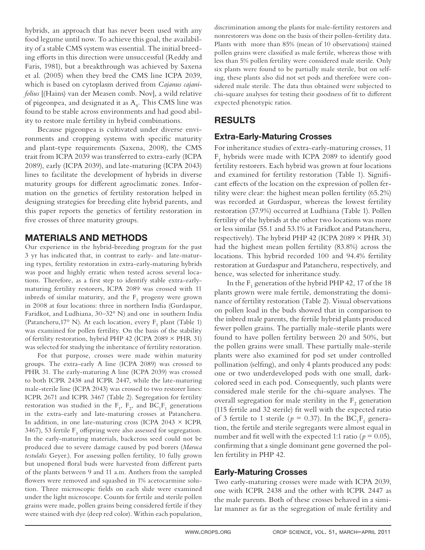hybrids, an approach that has never been used with any food legume until now. To achieve this goal, the availability of a stable CMS system was essential. The initial breeding efforts in this direction were unsuccessful (Reddy and Faris, 1981), but a breakthrough was achieved by Saxena et al. (2005) when they bred the CMS line ICPA 2039, which is based on cytoplasm derived from *Cajanus cajanifolius* [(Hains) van der Measen comb. Nov], a wild relative of pigeonpea, and designated it as  $A_4$ . This CMS line was found to be stable across environments and had good ability to restore male fertility in hybrid combinations.

Because pigeonpea is cultivated under diverse environments and cropping systems with specific maturity and plant-type requirements (Saxena, 2008), the CMS trait from ICPA 2039 was transferred to extra-early (ICPA 2089), early (ICPA 2039), and late-maturing (ICPA 2043) lines to facilitate the development of hybrids in diverse maturity groups for different agroclimatic zones. Information on the genetics of fertility restoration helped in designing strategies for breeding elite hybrid parents, and this paper reports the genetics of fertility restoration in five crosses of three maturity groups.

# MATERIALS AND METHODS

Our experience in the hybrid-breeding program for the past 3 yr has indicated that, in contrast to early- and late-maturing types, fertility restoration in extra-early-maturing hybrids was poor and highly erratic when tested across several locations. Therefore, as a first step to identify stable extra-earlymaturing fertility restorers, ICPA 2089 was crossed with 11 inbreds of similar maturity, and the  $F_1$  progeny were grown in 2008 at four locations: three in northern India (Gurdaspur, Faridkot, and Ludhiana, 30–32° N) and one in southern India (Patancheru, 17° N). At each location, every  $F_1$  plant (Table 1) was examined for pollen fertility. On the basis of the stability of fertility restoration, hybrid PHP 42 (ICPA 2089 × PHR 31) was selected for studying the inheritance of fertility restoration.

For that purpose, crosses were made within maturity groups. The extra-early A line (ICPA 2089) was crossed to PHR 31. The early-maturing A line (ICPA 2039) was crossed to both ICPR 2438 and ICPR 2447, while the late-maturing male-sterile line (ICPA 2043) was crossed to two restorer lines: ICPR 2671 and ICPR 3467 (Table 2). Segregation for fertility restoration was studied in the  $F_1$ ,  $F_2$ , and  $BC_1F_1$  generations in the extra-early and late-maturing crosses at Patancheru. In addition, in one late-maturing cross (ICPA 2043  $\times$  ICPR 3467), 53 fertile  $F_3$  offspring were also assessed for segregation. In the early-maturing materials, backcross seed could not be produced due to severe damage caused by pod borers (*Maruca testulalis* Geyer.). For assessing pollen fertility, 10 fully grown but unopened floral buds were harvested from different parts of the plants between 9 and 11 a.m. Anthers from the sampled flowers were removed and squashed in 1% acetocarmine solution. Three microscopic fields on each slide were examined under the light microscope. Counts for fertile and sterile pollen grains were made, pollen grains being considered fertile if they were stained with dye (deep red color). Within each population,

discrimination among the plants for male-fertility restorers and nonrestorers was done on the basis of their pollen-fertility data. Plants with more than 85% (mean of 10 observations) stained pollen grains were classified as male fertile, whereas those with less than 5% pollen fertility were considered male sterile. Only six plants were found to be partially male sterile, but on selfing, these plants also did not set pods and therefore were considered male sterile. The data thus obtained were subjected to chi-square analyses for testing their goodness of fit to different expected phenotypic ratios.

# RESULTS

## Extra-Early-Maturing Crosses

For inheritance studies of extra-early-maturing crosses, 11  $\rm F_1$  hybrids were made with ICPA 2089 to identify good fertility restorers. Each hybrid was grown at four locations and examined for fertility restoration (Table 1). Significant effects of the location on the expression of pollen fertility were clear: the highest mean pollen fertility (65.2%) was recorded at Gurdaspur, whereas the lowest fertility restoration (37.9%) occurred at Ludhiana (Table 1). Pollen fertility of the hybrids at the other two locations was more or less similar (55.1 and 53.1% at Faridkot and Patancheru, respectively). The hybrid PHP 42 (ICPA 2089  $\times$  PHR 31) had the highest mean pollen fertility (83.8%) across the locations. This hybrid recorded 100 and 94.4% fertility restoration at Gurdaspur and Patancheru, respectively, and hence, was selected for inheritance study.

In the  $\mathrm{F}_1$  generation of the hybrid PHP 42, 17 of the 18 plants grown were male fertile, demonstrating the dominance of fertility restoration (Table 2). Visual observations on pollen load in the buds showed that in comparison to the inbred male parents, the fertile hybrid plants produced fewer pollen grains. The partially male-sterile plants were found to have pollen fertility between 20 and 50%, but the pollen grains were small. These partially male-sterile plants were also examined for pod set under controlled pollination (selfing), and only 4 plants produced any pods: one or two underdeveloped pods with one small, darkcolored seed in each pod. Consequently, such plants were considered male sterile for the chi-square analyses. The overall segregation for male sterility in the  $\mathrm{F}_2$  generation (115 fertile and 32 sterile) fit well with the expected ratio of 3 fertile to 1 sterile ( $p = 0.37$ ). In the BC<sub>1</sub>F<sub>1</sub> generation, the fertile and sterile segregants were almost equal in number and fit well with the expected 1:1 ratio ( $p = 0.05$ ), confirming that a single dominant gene governed the pollen fertility in PHP 42.

#### Early-Maturing Crosses

Two early-maturing crosses were made with ICPA 2039, one with ICPR 2438 and the other with ICPR 2447 as the male parents. Both of these crosses behaved in a similar manner as far as the segregation of male fertility and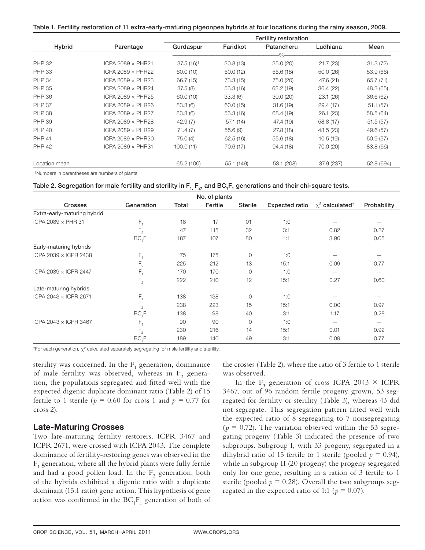Table 1. Fertility restoration of 11 extra-early-maturing pigeonpea hybrids at four locations during the rainy season, 2009.

|               | Parentage                | Fertility restoration   |            |                |            |            |  |  |  |
|---------------|--------------------------|-------------------------|------------|----------------|------------|------------|--|--|--|
| Hybrid        |                          | Gurdaspur               | Faridkot   | Patancheru     | Ludhiana   | Mean       |  |  |  |
|               |                          |                         |            | $-\frac{9}{6}$ |            |            |  |  |  |
| <b>PHP 32</b> | ICPA 2089 $\times$ PHR21 | $37.5(16)$ <sup>†</sup> | 30.8(13)   | 35.0(20)       | 21.7(23)   | 31.3(72)   |  |  |  |
| <b>PHP 33</b> | ICPA 2089 $\times$ PHR22 | 60.0 (10)               | 50.0(12)   | 55.6(18)       | 50.0 (26)  | 53.9 (66)  |  |  |  |
| <b>PHP 34</b> | ICPA 2089 $\times$ PHR23 | 66.7 (15)               | 73.3 (15)  | 75.0 (20)      | 47.6 (21)  | 65.7 (71)  |  |  |  |
| <b>PHP 35</b> | ICPA 2089 $\times$ PHR24 | 37.5(8)                 | 56.3(16)   | 63.2 (19)      | 36.4(22)   | 48.3 (65)  |  |  |  |
| <b>PHP 36</b> | ICPA 2089 $\times$ PHR25 | 60.0 (10)               | 33.3(6)    | 30.0(20)       | 23.1(26)   | 36.6(62)   |  |  |  |
| <b>PHP 37</b> | ICPA 2089 x PHR26        | 83.3(6)                 | 60.0(15)   | 31.6(19)       | 29.4 (17)  | 51.1(57)   |  |  |  |
| <b>PHP 38</b> | ICPA 2089 $\times$ PHR27 | 83.3(6)                 | 56.3 (16)  | 68.4 (19)      | 26.1(23)   | 58.5 (64)  |  |  |  |
| <b>PHP 39</b> | ICPA 2089 $\times$ PHR28 | 42.9(7)                 | 57.1(14)   | 47.4 (19)      | 58.8 (17)  | 51.5(57)   |  |  |  |
| <b>PHP 40</b> | ICPA 2089 $\times$ PHR29 | 71.4(7)                 | 55.6(9)    | 27.8(18)       | 43.5 (23)  | 49.6 (57)  |  |  |  |
| <b>PHP 41</b> | ICPA 2089 $\times$ PHR30 | 75.0(4)                 | 62.5(16)   | 55.6(18)       | 10.5(19)   | 50.9(57)   |  |  |  |
| <b>PHP 42</b> | ICPA 2089 $\times$ PHR31 | 100.0(11)               | 70.6 (17)  | 94.4 (18)      | 70.0 (20)  | 83.8 (66)  |  |  |  |
| Location mean |                          | 65.2 (100)              | 55.1 (149) | 53.1 (208)     | 37.9 (237) | 52.8 (694) |  |  |  |

†Numbers in parentheses are numbers of plants.

|  |  | Table 2. Segregation for male fertility and sterility in $F_1$ , $F_2$ , and BC <sub>1</sub> F <sub>1</sub> generations and their chi-square tests. |
|--|--|-----------------------------------------------------------------------------------------------------------------------------------------------------|
|--|--|-----------------------------------------------------------------------------------------------------------------------------------------------------|

|                             |                |       | No. of plants |                |                |                                  |             |
|-----------------------------|----------------|-------|---------------|----------------|----------------|----------------------------------|-------------|
| <b>Crosses</b>              | Generation     | Total | Fertile       | <b>Sterile</b> | Expected ratio | $\chi^2$ calculated <sup>†</sup> | Probability |
| Extra-early-maturing hybrid |                |       |               |                |                |                                  |             |
| ICPA 2089 x PHR 31          | $F_{\rm 1}$    | 18    | 17            | 01             | 1:0            |                                  |             |
|                             | F <sub>2</sub> | 147   | 115           | 32             | 3:1            | 0.82                             | 0.37        |
|                             | $BC_1F_1$      | 187   | 107           | 80             | 1:1            | 3.90                             | 0.05        |
| Early-maturing hybrids      |                |       |               |                |                |                                  |             |
| ICPA 2039 x ICPR 2438       | $F_{\rm 1}$    | 175   | 175           | $\circ$        | 1:0            |                                  |             |
|                             | $\mathsf{F}_2$ | 225   | 212           | 13             | 15:1           | 0.09                             | 0.77        |
| ICPA 2039 × ICPR 2447       | $F_{1}$        | 170   | 170           | $\circ$        | 1:0            | -                                | -           |
|                             | $\mathsf{F}_2$ | 222   | 210           | 12             | 15:1           | 0.27                             | 0.60        |
| Late-maturing hybrids       |                |       |               |                |                |                                  |             |
| ICPA 2043 × ICPR 2671       | $\mathsf{F}_i$ | 138   | 138           | $\circ$        | 1:0            |                                  |             |
|                             | $\mathsf{F}_2$ | 238   | 223           | 15             | 15:1           | 0.00                             | 0.97        |
|                             | $BC_1F_1$      | 138   | 98            | 40             | 3:1            | 1.17                             | 0.28        |
| ICPA 2043 × ICPR 3467       | F,             | 90    | 90            | $\circ$        | 1:0            |                                  |             |
|                             | F <sub>2</sub> | 230   | 216           | 14             | 15:1           | 0.01                             | 0.92        |
|                             | $BC_1F_1$      | 189   | 140           | 49             | 3:1            | 0.09                             | 0.77        |

<sup>†</sup>For each generation,  $\chi^2$  calculated separately segregating for male fertility and sterility.

sterility was concerned. In the  $\mathrm{F}_1$  generation, dominance of male fertility was observed, whereas in  $F_2$  generation, the populations segregated and fitted well with the expected digenic duplicate dominant ratio (Table 2) of 15 fertile to 1 sterile ( $p = 0.60$  for cross 1 and  $p = 0.77$  for cross 2).

#### Late-Maturing Crosses

Two late-maturing fertility restorers, ICPR 3467 and ICPR 2671, were crossed with ICPA 2043. The complete dominance of fertility-restoring genes was observed in the  $\mathrm{F}_1$  generation, where all the hybrid plants were fully fertile and had a good pollen load. In the  $F_2$  generation, both of the hybrids exhibited a digenic ratio with a duplicate dominant (15:1 ratio) gene action. This hypothesis of gene action was confirmed in the  $\mathrm{BC}_1\mathrm{F}_1$  generation of both of

the crosses (Table 2), where the ratio of 3 fertile to 1 sterile was observed.

In the  $F_3$  generation of cross ICPA 2043  $\times$  ICPR 3467, out of 96 random fertile progeny grown, 53 segregated for fertility or sterility (Table 3), whereas 43 did not segregate. This segregation pattern fitted well with the expected ratio of 8 segregating to 7 nonsegregating  $(p = 0.72)$ . The variation observed within the 53 segregating progeny (Table 3) indicated the presence of two subgroups. Subgroup I, with 33 progeny, segregated in a dihybrid ratio of 15 fertile to 1 sterile (pooled  $p = 0.94$ ), while in subgroup II (20 progeny) the progeny segregated only for one gene, resulting in a ration of 3 fertile to 1 sterile (pooled  $p = 0.28$ ). Overall the two subgroups segregated in the expected ratio of 1:1 ( $p = 0.07$ ).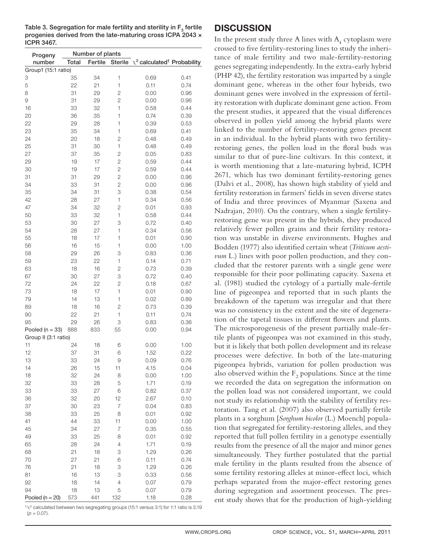Table 3. Segregation for male fertility and sterility in  $F<sub>2</sub>$  fertile progenies derived from the late-maturing cross ICPA 2043 × ICPR 3467.

| Progeny              |              | Number of plants |                |                                                      |      |  |  |  |
|----------------------|--------------|------------------|----------------|------------------------------------------------------|------|--|--|--|
| number               | <b>Total</b> | Fertile          |                | Sterile $\chi^2$ calculated <sup>†</sup> Probability |      |  |  |  |
| Group1 (15:1 ratio)  |              |                  |                |                                                      |      |  |  |  |
| 3                    | 35           | 34               | $\mathbf{1}$   | 0.69                                                 | 0.41 |  |  |  |
| 5                    | 22           | 21               | $\mathbf{1}$   | 0.11                                                 | 0.74 |  |  |  |
| 8                    | 31           | 29               | $\overline{c}$ | 0.00                                                 | 0.96 |  |  |  |
| 9                    | 31           | 29               | $\overline{c}$ | 0.00                                                 | 0.96 |  |  |  |
| 16                   | 33           | 32               | $\mathbf{1}$   | 0.58                                                 | 0.44 |  |  |  |
|                      |              |                  | $\mathbf{1}$   |                                                      |      |  |  |  |
| 20                   | 36           | 35               |                | 0.74                                                 | 0.39 |  |  |  |
| 22                   | 29           | 28               | 1              | 0.39                                                 | 0.53 |  |  |  |
| 23                   | 35           | 34               | $\mathbf{1}$   | 0.69                                                 | 0.41 |  |  |  |
| 24                   | 20           | 18               | $\overline{c}$ | 0.48                                                 | 0.49 |  |  |  |
| 25                   | 31           | 30               | $\mathbf{1}$   | 0.48                                                 | 0.49 |  |  |  |
| 27                   | 37           | 35               | $\overline{c}$ | 0.05                                                 | 0.83 |  |  |  |
| 29                   | 19           | 17               | $\overline{2}$ | 0.59                                                 | 0.44 |  |  |  |
| 30                   | 19           | 17               | $\overline{c}$ | 0.59                                                 | 0.44 |  |  |  |
| 31                   | 31           | 29               | $\overline{c}$ | 0.00                                                 | 0.96 |  |  |  |
| 34                   | 33           | 31               | $\overline{c}$ | 0.00                                                 | 0.96 |  |  |  |
| 35                   | 34           | 31               | 3              | 0.38                                                 | 0.54 |  |  |  |
| 42                   | 28           | 27               | $\mathbf{1}$   | 0.34                                                 | 0.56 |  |  |  |
| 47                   | 34           | 32               | $\overline{c}$ | 0.01                                                 | 0.93 |  |  |  |
| 50                   | 33           | 32               | $\mathbf{1}$   | 0.58                                                 | 0.44 |  |  |  |
| 53                   | 30           | 27               | 3              | 0.72                                                 | 0.40 |  |  |  |
| 54                   | 28           | 27               | $\mathbf{1}$   | 0.34                                                 | 0.56 |  |  |  |
| 55                   | 18           | 17               | $\mathbf{1}$   | 0.01                                                 | 0.90 |  |  |  |
| 56                   | 16           | 15               | $\mathbf{1}$   | 0.00                                                 | 1.00 |  |  |  |
| 58                   | 29           | 26               | 3              | 0.83                                                 | 0.36 |  |  |  |
| 59                   | 23           | 22               | $\mathbf{1}$   | 0.14                                                 | 0.71 |  |  |  |
| 63                   | 18           | 16               | $\overline{c}$ | 0.73                                                 | 0.39 |  |  |  |
| 67                   | 30           | 27               | 3              | 0.72                                                 | 0.40 |  |  |  |
| 72                   | 24           | 22               | $\overline{c}$ | 0.18                                                 | 0.67 |  |  |  |
| 73                   | 18           | 17               | $\mathbf{1}$   | 0.01                                                 | 0.90 |  |  |  |
| 79                   | 14           | 13               | $\mathbf{1}$   | 0.02                                                 | 0.89 |  |  |  |
| 89                   | 18           | 16               | $\mathbf{2}$   | 0.73                                                 | 0.39 |  |  |  |
| 90                   | 22           | 21               | 1              | 0.11                                                 | 0.74 |  |  |  |
| 95                   | 29           | 26               | 3              | 0.83                                                 | 0.36 |  |  |  |
| Pooled ( $n = 33$ )  | 888          | 833              | 55             | 0.00                                                 | 0.94 |  |  |  |
| Group II (3:1 ratio) |              |                  |                |                                                      |      |  |  |  |
| 11                   | 24           | 18               | 6              | 0.00                                                 | 1.00 |  |  |  |
| 12                   | 37           | 31               | 6              | 1.52                                                 | 0.22 |  |  |  |
| 13                   | 33           | 24               | 9              | 0.09                                                 | 0.76 |  |  |  |
| 14                   | 26           | 15               | 11             | 4.15                                                 | 0.04 |  |  |  |
| 18                   | 32           | 24               | 8              | 0.00                                                 | 1.00 |  |  |  |
| 32                   | 33           | 28               | 5              | 1.71                                                 | 0.19 |  |  |  |
| 33                   | 33           | 27               | 6              | 0.82                                                 | 0.37 |  |  |  |
|                      | 32           | 20               |                | 2.67                                                 |      |  |  |  |
| 36                   |              |                  | 12<br>7        |                                                      | 0.10 |  |  |  |
| 37                   | 30           | 23               |                | 0.04                                                 | 0.83 |  |  |  |
| 38                   | 33           | 25               | 8              | 0.01                                                 | 0.92 |  |  |  |
| 41                   | 44           | 33               | 11             | 0.00                                                 | 1.00 |  |  |  |
| 45                   | 34           | 27               | $\overline{7}$ | 0.35                                                 | 0.55 |  |  |  |
| 49                   | 33           | 25               | 8              | 0.01                                                 | 0.92 |  |  |  |
| 65                   | 28           | 24               | $\overline{4}$ | 1.71                                                 | 0.19 |  |  |  |
| 68                   | 21           | 18               | 3              | 1.29                                                 | 0.26 |  |  |  |
| 70                   | 27           | 21               | 6              | 0.11                                                 | 0.74 |  |  |  |
| 76                   | 21           | 18               | 3              | 1.29                                                 | 0.26 |  |  |  |
| 81                   | 16           | 13               | 3              | 0.33                                                 | 0.56 |  |  |  |
| 92                   | 18           | 14               | $\overline{4}$ | 0.07                                                 | 0.79 |  |  |  |
| 94                   | 18           | 13               | 5              | 0.07                                                 | 0.79 |  |  |  |
| Pooled $(n = 20)$    | 573          | 441              | 132            | 1.18                                                 | 0.28 |  |  |  |

 $\dagger \chi^2$  calculated between two segregating groups (15:1 versus 3:1) for 1:1 ratio is 3.19  $(p = 0.07)$ .

## **DISCUSSION**

In the present study three A lines with  $\rm A^{}_4$  cytoplasm were crossed to five fertility-restoring lines to study the inheritance of male fertility and two male-fertility-restoring genes segregating independently. In the extra-early hybrid (PHP 42), the fertility restoration was imparted by a single dominant gene, whereas in the other four hybrids, two dominant genes were involved in the expression of fertility restoration with duplicate dominant gene action. From the present studies, it appeared that the visual differences observed in pollen yield among the hybrid plants were linked to the number of fertility-restoring genes present in an individual. In the hybrid plants with two fertilityrestoring genes, the pollen load in the floral buds was similar to that of pure-line cultivars. In this context, it is worth mentioning that a late-maturing hybrid, ICPH 2671, which has two dominant fertility-restoring genes (Dalvi et al., 2008), has shown high stability of yield and fertility restoration in farmers' fields in seven diverse states of India and three provinces of Myanmar (Saxena and Nadrajan, 2010). On the contrary, when a single fertilityrestoring gene was present in the hybrids, they produced relatively fewer pollen grains and their fertility restoration was unstable in diverse environments. Hughes and Bodden (1977) also identified certain wheat (*Triticum aestivum* L.) lines with poor pollen production, and they concluded that the restorer parents with a single gene were responsible for their poor pollinating capacity. Saxena et al. (1981) studied the cytology of a partially male-fertile line of pigeonpea and reported that in such plants the breakdown of the tapetum was irregular and that there was no consistency in the extent and the site of degeneration of the tapetal tissues in different flowers and plants. The microsporogenesis of the present partially male-fertile plants of pigeonpea was not examined in this study, but it is likely that both pollen development and its release processes were defective. In both of the late-maturing pigeonpea hybrids, variation for pollen production was also observed within the  $\mathrm{F}_2$  populations. Since at the time we recorded the data on segregation the information on the pollen load was not considered important, we could not study its relationship with the stability of fertility restoration. Tang et al. (2007) also observed partially fertile plants in a sorghum [*Sorghum bicolor* (L.) Moench] population that segregated for fertility-restoring alleles, and they reported that full pollen fertility in a genotype essentially results from the presence of all the major and minor genes simultaneously. They further postulated that the partial male fertility in the plants resulted from the absence of some fertility restoring alleles at minor-effect loci, which perhaps separated from the major-effect restoring genes during segregation and assortment processes. The present study shows that for the production of high-yielding